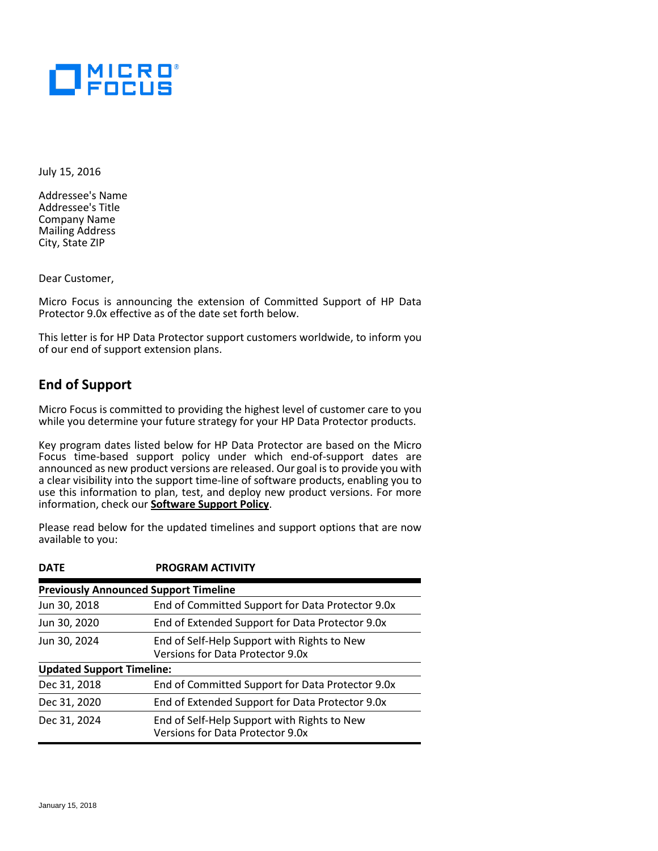

July 15, 2016

Addressee's Name Addressee's Title Company Name Mailing Address City, State ZIP

Dear Customer,

Micro Focus is announcing the extension of Committed Support of HP Data Protector 9.0x effective as of the date set forth below.

This letter is for HP Data Protector support customers worldwide, to inform you of our end of support extension plans.

# **End of Support**

Micro Focus is committed to providing the highest level of customer care to you while you determine your future strategy for your HP Data Protector products.

Key program dates listed below for HP Data Protector are based on the Micro Focus time-based support policy under which end-of-support dates are announced as new product versions are released. Our goal is to provide you with a clear visibility into the support time-line of software products, enabling you to use this information to plan, test, and deploy new product versions. For more information, check our **[Software Support Policy](https://softwaresupport.hpe.com/web/softwaresupport/document/-/facetsearch/document/KM01510370)**.

Please read below for the updated timelines and support options that are now available to you:

| <b>DATE</b>                      | <b>PROGRAM ACTIVITY</b>                                                         |
|----------------------------------|---------------------------------------------------------------------------------|
|                                  | <b>Previously Announced Support Timeline</b>                                    |
| Jun 30, 2018                     | End of Committed Support for Data Protector 9.0x                                |
| Jun 30, 2020                     | End of Extended Support for Data Protector 9.0x                                 |
| Jun 30, 2024                     | End of Self-Help Support with Rights to New<br>Versions for Data Protector 9.0x |
| <b>Updated Support Timeline:</b> |                                                                                 |
| Dec 31, 2018                     | End of Committed Support for Data Protector 9.0x                                |
| Dec 31, 2020                     | End of Extended Support for Data Protector 9.0x                                 |
| Dec 31, 2024                     | End of Self-Help Support with Rights to New<br>Versions for Data Protector 9.0x |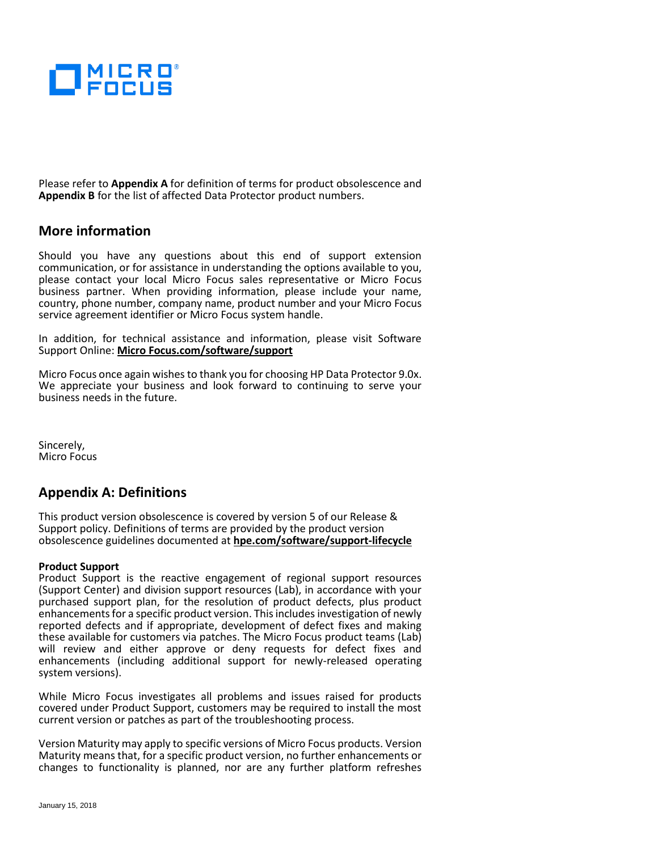

Please refer to **[Appendix A](#page-1-0)** for definition of terms for product obsolescence and **Appendix B** for the list of affected Data Protector product numbers.

## **More information**

Should you have any questions about this end of support extension communication, or for assistance in understanding the options available to you, please contact your local Micro Focus sales representative or Micro Focus business partner. When providing information, please include your name, country, phone number, company name, product number and your Micro Focus service agreement identifier or Micro Focus system handle.

In addition, for technical assistance and information, please visit Software Support Online: **[Micro Focus.com/software/support](http://www.hpe.com/software/support)**

Micro Focus once again wishes to thank you for choosing HP Data Protector 9.0x. We appreciate your business and look forward to continuing to serve your business needs in the future.

Sincerely, Micro Focus

## <span id="page-1-0"></span>**Appendix A: Definitions**

This product version obsolescence is covered by version 5 of our Release & Support policy. Definitions of terms are provided by the product version obsolescence guidelines documented at **[hpe.com/software/support-lifecycle](https://www.hpe.com/software/support-lifecycle)**

### **Product Support**

Product Support is the reactive engagement of regional support resources (Support Center) and division support resources (Lab), in accordance with your purchased support plan, for the resolution of product defects, plus product enhancements for a specific product version. This includes investigation of newly reported defects and if appropriate, development of defect fixes and making these available for customers via patches. The Micro Focus product teams (Lab) will review and either approve or deny requests for defect fixes and enhancements (including additional support for newly-released operating system versions).

While Micro Focus investigates all problems and issues raised for products covered under Product Support, customers may be required to install the most current version or patches as part of the troubleshooting process.

Version Maturity may apply to specific versions of Micro Focus products. Version Maturity means that, for a specific product version, no further enhancements or changes to functionality is planned, nor are any further platform refreshes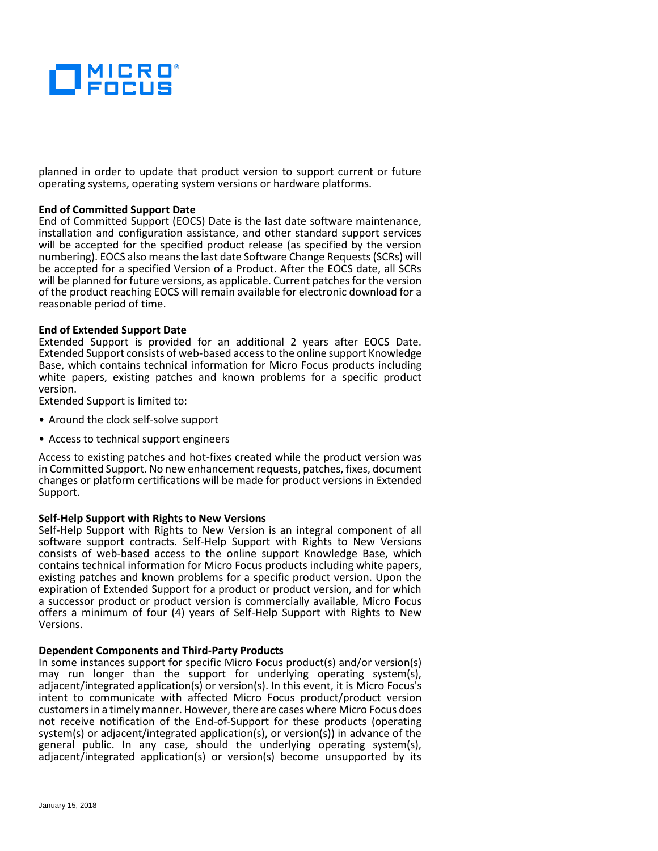

planned in order to update that product version to support current or future operating systems, operating system versions or hardware platforms.

### **End of Committed Support Date**

End of Committed Support (EOCS) Date is the last date software maintenance, installation and configuration assistance, and other standard support services will be accepted for the specified product release (as specified by the version numbering). EOCS also means the last date Software Change Requests (SCRs) will be accepted for a specified Version of a Product. After the EOCS date, all SCRs will be planned for future versions, as applicable. Current patches for the version of the product reaching EOCS will remain available for electronic download for a reasonable period of time.

#### **End of Extended Support Date**

Extended Support is provided for an additional 2 years after EOCS Date. Extended Support consists of web-based access to the online support Knowledge Base, which contains technical information for Micro Focus products including white papers, existing patches and known problems for a specific product version.

Extended Support is limited to:

- Around the clock self-solve support
- Access to technical support engineers

Access to existing patches and hot-fixes created while the product version was in Committed Support. No new enhancement requests, patches, fixes, document changes or platform certifications will be made for product versions in Extended Support.

#### **Self-Help Support with Rights to New Versions**

Self-Help Support with Rights to New Version is an integral component of all software support contracts. Self-Help Support with Rights to New Versions consists of web-based access to the online support Knowledge Base, which contains technical information for Micro Focus products including white papers, existing patches and known problems for a specific product version. Upon the expiration of Extended Support for a product or product version, and for which a successor product or product version is commercially available, Micro Focus offers a minimum of four (4) years of Self-Help Support with Rights to New Versions.

### **Dependent Components and Third-Party Products**

In some instances support for specific Micro Focus product(s) and/or version(s) may run longer than the support for underlying operating system(s), adjacent/integrated application(s) or version(s). In this event, it is Micro Focus's intent to communicate with affected Micro Focus product/product version customers in a timely manner. However, there are cases where Micro Focus does not receive notification of the End-of-Support for these products (operating system(s) or adjacent/integrated application(s), or version(s)) in advance of the general public. In any case, should the underlying operating system(s), adjacent/integrated application(s) or version(s) become unsupported by its